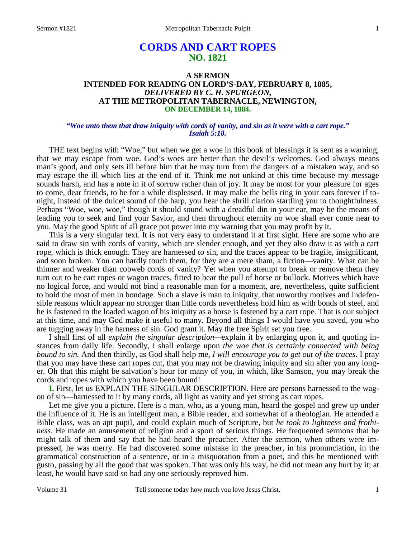# **CORDS AND CART ROPES NO. 1821**

## **A SERMON INTENDED FOR READING ON LORD'S-DAY, FEBRUARY 8, 1885,**  *DELIVERED BY C. H. SPURGEON,*  **AT THE METROPOLITAN TABERNACLE, NEWINGTON, ON DECEMBER 14, 1884.**

## *"Woe unto them that draw iniquity with cords of vanity, and sin as it were with a cart rope." Isaiah 5:18.*

THE text begins with "Woe," but when we get a woe in this book of blessings it is sent as a warning, that we may escape from woe. God's woes are better than the devil's welcomes. God always means man's good, and only sets ill before him that he may turn from the dangers of a mistaken way, and so may escape the ill which lies at the end of it. Think me not unkind at this time because my message sounds harsh, and has a note in it of sorrow rather than of joy. It may be most for your pleasure for ages to come, dear friends, to be for a while displeased. It may make the bells ring in your ears forever if tonight, instead of the dulcet sound of the harp, you hear the shrill clarion startling you to thoughtfulness. Perhaps "Woe, woe, woe," though it should sound with a dreadful din in your ear, may be the means of leading you to seek and find your Savior, and then throughout eternity no woe shall ever come near to you. May the good Spirit of all grace put power into my warning that you may profit by it.

 This is a very singular text. It is not very easy to understand it at first sight. Here are some who are said to draw sin with cords of vanity, which are slender enough, and yet they also draw it as with a cart rope, which is thick enough. They are harnessed to sin, and the traces appear to be fragile, insignificant, and soon broken. You can hardly touch them, for they are a mere sham, a fiction—vanity. What can be thinner and weaker than cobweb cords of vanity? Yet when you attempt to break or remove them they turn out to be cart ropes or wagon traces, fitted to bear the pull of horse or bullock. Motives which have no logical force, and would not bind a reasonable man for a moment, are, nevertheless, quite sufficient to hold the most of men in bondage. Such a slave is man to iniquity, that unworthy motives and indefensible reasons which appear no stronger than little cords nevertheless hold him as with bonds of steel, and he is fastened to the loaded wagon of his iniquity as a horse is fastened by a cart rope. That is our subject at this time, and may God make it useful to many. Beyond all things I would have you saved, you who are tugging away in the harness of sin. God grant it. May the free Spirit set you free.

 I shall first of all *explain the singular description—*explain it by enlarging upon it, and quoting instances from daily life. Secondly, I shall enlarge upon *the woe that is certainly connected with being bound to sin.* And then thirdly, as God shall help me, *I will encourage you to get out of the traces*. I pray that you may have these cart ropes cut, that you may not be drawing iniquity and sin after you any longer. Oh that this might be salvation's hour for many of you, in which, like Samson, you may break the cords and ropes with which you have been bound!

**I.** First, let us EXPLAIN THE SINGULAR DESCRIPTION. Here are persons harnessed to the wagon of sin—harnessed to it by many cords, all light as vanity and yet strong as cart ropes.

 Let me give you a picture. Here is a man, who, as a young man, heard the gospel and grew up under the influence of it. He is an intelligent man, a Bible reader, and somewhat of a theologian. He attended a Bible class, was an apt pupil, and could explain much of Scripture, but *he took to lightness and frothiness*. He made an amusement of religion and a sport of serious things. He frequented sermons that he might talk of them and say that he had heard the preacher. After the sermon, when others were impressed, he was merry. He had discovered some mistake in the preacher, in his pronunciation, in the grammatical construction of a sentence, or in a misquotation from a poet, and this he mentioned with gusto, passing by all the good that was spoken. That was only his way, he did not mean any hurt by it; at least, he would have said so had any one seriously reproved him.

Volume 31 Tell someone today how much you love Jesus Christ.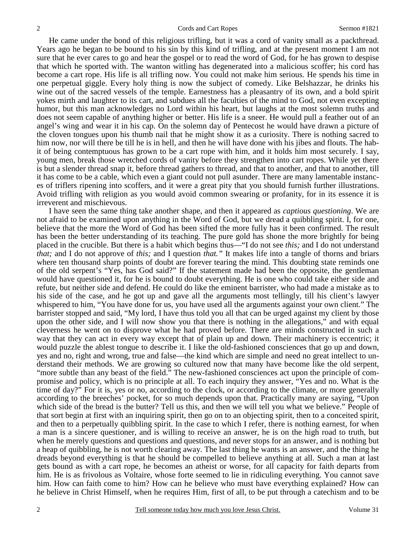He came under the bond of this religious trifling, but it was a cord of vanity small as a packthread. Years ago he began to be bound to his sin by this kind of trifling, and at the present moment I am not sure that he ever cares to go and hear the gospel or to read the word of God, for he has grown to despise that which he sported with. The wanton witling has degenerated into a malicious scoffer; his cord has become a cart rope. His life is all trifling now. You could not make him serious. He spends his time in one perpetual giggle. Every holy thing is now the subject of comedy. Like Belshazzar, he drinks his wine out of the sacred vessels of the temple. Earnestness has a pleasantry of its own, and a bold spirit yokes mirth and laughter to its cart, and subdues all the faculties of the mind to God, not even excepting humor, but this man acknowledges no Lord within his heart, but laughs at the most solemn truths and does not seem capable of anything higher or better. His life is a sneer. He would pull a feather out of an angel's wing and wear it in his cap. On the solemn day of Pentecost he would have drawn a picture of the cloven tongues upon his thumb nail that he might show it as a curiosity. There is nothing sacred to him now, nor will there be till he is in hell, and then he will have done with his jibes and flouts. The habit of being contemptuous has grown to be a cart rope with him, and it holds him most securely. I say, young men, break those wretched cords of vanity before they strengthen into cart ropes. While yet there is but a slender thread snap it, before thread gathers to thread, and that to another, and that to another, till it has come to be a cable, which even a giant could not pull asunder. There are many lamentable instances of triflers ripening into scoffers, and it were a great pity that you should furnish further illustrations. Avoid trifling with religion as you would avoid common swearing or profanity, for in its essence it is irreverent and mischievous.

 I have seen the same thing take another shape, and then it appeared as *captious questioning*. We are not afraid to be examined upon anything in the Word of God, but we dread a quibbling spirit. I, for one, believe that the more the Word of God has been sifted the more fully has it been confirmed. The result has been the better understanding of its teaching. The pure gold has shone the more brightly for being placed in the crucible. But there is a habit which begins thus—"I do not see *this;* and I do not understand *that;* and I do not approve of *this;* and I question *that."* It makes life into a tangle of thorns and briars where ten thousand sharp points of doubt are forever tearing the mind. This doubting state reminds one of the old serpent's "Yes, has God said?" If the statement made had been the opposite, the gentleman would have questioned it, for he is bound to doubt everything. He is one who could take either side and refute, but neither side and defend. He could do like the eminent barrister, who had made a mistake as to his side of the case, and he got up and gave all the arguments most tellingly, till his client's lawyer whispered to him, "You have done for us, you have used all the arguments against your own client." The barrister stopped and said, "My lord, I have thus told you all that can be urged against my client by those upon the other side, and I will now show you that there is nothing in the allegations," and with equal cleverness he went on to disprove what he had proved before. There are minds constructed in such a way that they can act in every way except that of plain up and down. Their machinery is eccentric; it would puzzle the ablest tongue to describe it. I like the old-fashioned consciences that go up and down, yes and no, right and wrong, true and false—the kind which are simple and need no great intellect to understand their methods. We are growing so cultured now that many have become like the old serpent, "more subtle than any beast of the field." The new-fashioned consciences act upon the principle of compromise and policy, which is no principle at all. To each inquiry they answer, "Yes and no. What is the time of day?" For it is, yes or no, according to the clock, or according to the climate, or more generally according to the breeches' pocket, for so much depends upon that. Practically many are saying, "Upon which side of the bread is the butter? Tell us this, and then we will tell you what we believe." People of that sort begin at first with an inquiring spirit, then go on to an objecting spirit, then to a conceited spirit, and then to a perpetually quibbling spirit. In the case to which I refer, there is nothing earnest, for when a man is a sincere questioner, and is willing to receive an answer, he is on the high road to truth, but when he merely questions and questions and questions, and never stops for an answer, and is nothing but a heap of quibbling, he is not worth clearing away. The last thing he wants is an answer, and the thing he dreads beyond everything is that he should be compelled to believe anything at all. Such a man at last gets bound as with a cart rope, he becomes an atheist or worse, for all capacity for faith departs from him. He is as frivolous as Voltaire, whose forte seemed to lie in ridiculing everything. You cannot save him. How can faith come to him? How can he believe who must have everything explained? How can he believe in Christ Himself, when he requires Him, first of all, to be put through a catechism and to be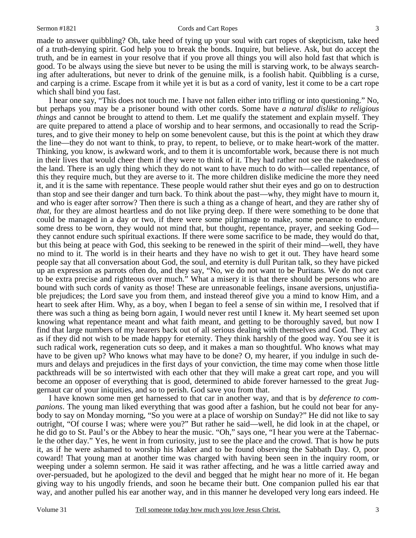made to answer quibbling? Oh, take heed of tying up your soul with cart ropes of skepticism, take heed of a truth-denying spirit. God help you to break the bonds. Inquire, but believe. Ask, but do accept the truth, and be in earnest in your resolve that if you prove all things you will also hold fast that which is good. To be always using the sieve but never to be using the mill is starving work, to be always searching after adulterations, but never to drink of the genuine milk, is a foolish habit. Quibbling is a curse, and carping is a crime. Escape from it while yet it is but as a cord of vanity, lest it come to be a cart rope which shall bind you fast.

 I hear one say, "This does not touch me. I have not fallen either into trifling or into questioning." No, but perhaps you may be a prisoner bound with other cords. Some have *a natural dislike to religious things* and cannot be brought to attend to them. Let me qualify the statement and explain myself. They are quite prepared to attend a place of worship and to hear sermons, and occasionally to read the Scriptures, and to give their money to help on some benevolent cause, but this is the point at which they draw the line—they do not want to think, to pray, to repent, to believe, or to make heart-work of the matter. Thinking, you know, is awkward work, and to them it is uncomfortable work, because there is not much in their lives that would cheer them if they were to think of it. They had rather not see the nakedness of the land. There is an ugly thing which they do not want to have much to do with—called repentance, of this they require much, but they are averse to it. The more children dislike medicine the more they need it, and it is the same with repentance. These people would rather shut their eyes and go on to destruction than stop and see their danger and turn back. To think about the past—why, they might have to mourn it, and who is eager after sorrow? Then there is such a thing as a change of heart, and they are rather shy of *that*, for they are almost heartless and do not like prying deep. If there were something to be done that could be managed in a day or two, if there were some pilgrimage to make, some penance to endure, some dress to be worn, they would not mind that, but thought, repentance, prayer, and seeking God they cannot endure such spiritual exactions. If there were some sacrifice to be made, they would do that, but this being at peace with God, this seeking to be renewed in the spirit of their mind—well, they have no mind to it. The world is in their hearts and they have no wish to get it out. They have heard some people say that all conversation about God, the soul, and eternity is dull Puritan talk, so they have picked up an expression as parrots often do, and they say, "No, we do not want to be Puritans. We do not care to be extra precise and righteous over much." What a misery it is that there should be persons who are bound with such cords of vanity as those! These are unreasonable feelings, insane aversions, unjustifiable prejudices; the Lord save you from them, and instead thereof give you a mind to know Him, and a heart to seek after Him. Why, as a boy, when I began to feel a sense of sin within me, I resolved that if there was such a thing as being born again, I would never rest until I knew it. My heart seemed set upon knowing what repentance meant and what faith meant, and getting to be thoroughly saved, but now I find that large numbers of my hearers back out of all serious dealing with themselves and God. They act as if they did not wish to be made happy for eternity. They think harshly of the good way. You see it is such radical work, regeneration cuts so deep, and it makes a man so thoughtful. Who knows what may have to be given up? Who knows what may have to be done? O, my hearer, if you indulge in such demurs and delays and prejudices in the first days of your conviction, the time may come when those little packthreads will be so intertwisted with each other that they will make a great cart rope, and you will become an opposer of everything that is good, determined to abide forever harnessed to the great Juggernaut car of your iniquities, and so to perish. God save you from that.

 I have known some men get harnessed to that car in another way, and that is by *deference to companions*. The young man liked everything that was good after a fashion, but he could not bear for anybody to say on Monday morning, "So you were at a place of worship on Sunday?" He did not like to say outright, "Of course I was; where were you?" But rather he said—well, he did look in at the chapel, or he did go to St. Paul's or the Abbey to hear the music. "Oh," says one, "I hear you were at the Tabernacle the other day." Yes, he went in from curiosity, just to see the place and the crowd. That is how he puts it, as if he were ashamed to worship his Maker and to be found observing the Sabbath Day. O, poor coward! That young man at another time was charged with having been seen in the inquiry room, or weeping under a solemn sermon. He said it was rather affecting, and he was a little carried away and over-persuaded, but he apologized to the devil and begged that he might hear no more of it. He began giving way to his ungodly friends, and soon he became their butt. One companion pulled his ear that way, and another pulled his ear another way, and in this manner he developed very long ears indeed. He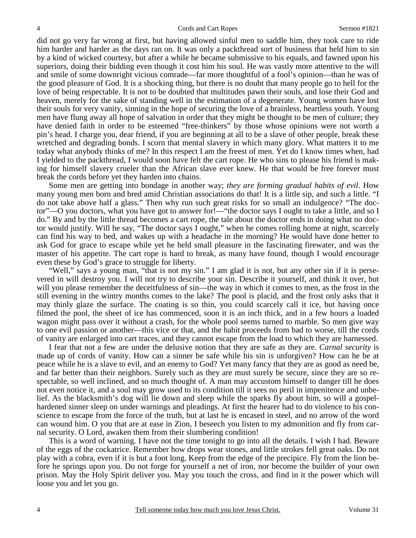did not go very far wrong at first, but having allowed sinful men to saddle him, they took care to ride him harder and harder as the days ran on. It was only a packthread sort of business that held him to sin by a kind of wicked courtesy, but after a while he became submissive to his equals, and fawned upon his superiors, doing their bidding even though it cost him his soul. He was vastly more attentive to the will and smile of some downright vicious comrade—far more thoughtful of a fool's opinion—than he was of the good pleasure of God. It is a shocking thing, but there is no doubt that many people go to hell for the love of being respectable. It is not to be doubted that multitudes pawn their souls, and lose their God and heaven, merely for the sake of standing well in the estimation of a degenerate. Young women have lost their souls for very vanity, sinning in the hope of securing the love of a brainless, heartless youth. Young men have flung away all hope of salvation in order that they might be thought to be men of culture; they have denied faith in order to be esteemed "free-thinkers" by those whose opinions were not worth a pin's head. I charge you, dear friend, if you are beginning at all to be a slave of other people, break these wretched and degrading bonds. I scorn that mental slavery in which many glory. What matters it to me today what anybody thinks of me? In this respect I am the freest of men. Yet do I know times when, had I yielded to the packthread, I would soon have felt the cart rope. He who sins to please his friend is making for himself slavery crueler than the African slave ever knew. He that would be free forever must break the cords before yet they harden into chains.

 Some men are getting into bondage in another way; *they are forming gradual habits of evil*. How many young men born and bred amid Christian associations do that! It is a little sip, and such a little. "I do not take above half a glass." Then why run such great risks for so small an indulgence? "The doctor"—O you doctors, what you have got to answer for!—"the doctor says I ought to take a little, and so I do." By and by the little thread becomes a cart rope, the tale about the doctor ends in doing what no doctor would justify. Will he say, "The doctor says I ought," when he comes rolling home at night, scarcely can find his way to bed, and wakes up with a headache in the morning? He would have done better to ask God for grace to escape while yet he held small pleasure in the fascinating firewater, and was the master of his appetite. The cart rope is hard to break, as many have found, though I would encourage even these by God's grace to struggle for liberty.

"Well," says a young man, "that is not my sin." I am glad it is not, but any other sin if it is persevered in will destroy you. I will not try to describe your sin. Describe it yourself, and think it over, but will you please remember the deceitfulness of sin—the way in which it comes to men, as the frost in the still evening in the wintry months comes to the lake? The pool is placid, and the frost only asks that it may thinly glaze the surface. The coating is so thin, you could scarcely call it ice, but having once filmed the pool, the sheet of ice has commenced, soon it is an inch thick, and in a few hours a loaded wagon might pass over it without a crash, for the whole pool seems turned to marble. So men give way to one evil passion or another—this vice or that, and the habit proceeds from bad to worse, till the cords of vanity are enlarged into cart traces, and they cannot escape from the load to which they are harnessed.

 I fear that not a few are under the delusive notion that they are safe as they are. *Carnal security* is made up of cords of vanity. How can a sinner be safe while his sin is unforgiven? How can he be at peace while he is a slave to evil, and an enemy to God? Yet many fancy that they are as good as need be, and far better than their neighbors. Surely such as they are must surely be secure, since they are so respectable, so well inclined, and so much thought of. A man may accustom himself to danger till he does not even notice it, and a soul may grow used to its condition till it sees no peril in impenitence and unbelief. As the blacksmith's dog will lie down and sleep while the sparks fly about him, so will a gospelhardened sinner sleep on under warnings and pleadings. At first the hearer had to do violence to his conscience to escape from the force of the truth, but at last he is encased in steel, and no arrow of the word can wound him. O you that are at ease in Zion, I beseech you listen to my admonition and fly from carnal security. O Lord, awaken them from their slumbering condition!

 This is a word of warning. I have not the time tonight to go into all the details. I wish I had. Beware of the eggs of the cockatrice. Remember how drops wear stones, and little strokes fell great oaks. Do not play with a cobra, even if it is but a foot long. Keep from the edge of the precipice. Fly from the lion before he springs upon you. Do not forge for yourself a net of iron, nor become the builder of your own prison. May the Holy Spirit deliver you. May you touch the cross, and find in it the power which will loose you and let you go.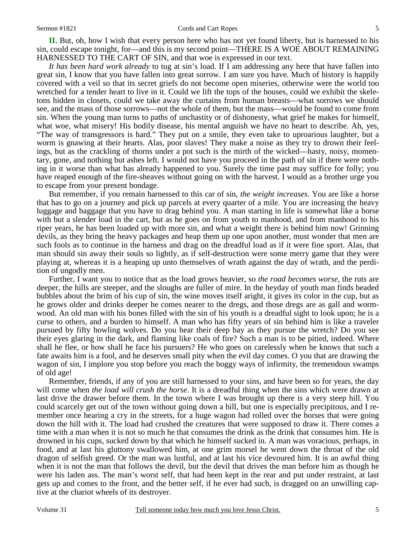**II.** But, oh, how I wish that every person here who has not yet found liberty, but is harnessed to his sin, could escape tonight, for—and this is my second point—THERE IS A WOE ABOUT REMAINING HARNESSED TO THE CART OF SIN, and that woe is expressed in our text.

*It has been hard work already* to tug at sin's load. If I am addressing any here that have fallen into great sin, I know that you have fallen into great sorrow. I am sure you have. Much of history is happily covered with a veil so that its secret griefs do not become open miseries, otherwise were the world too wretched for a tender heart to live in it. Could we lift the tops of the houses, could we exhibit the skeletons hidden in closets, could we take away the curtains from human breasts—what sorrows we should see, and the mass of those sorrows—not the whole of them, but the mass—would be found to come from sin. When the young man turns to paths of unchastity or of dishonesty, what grief he makes for himself, what woe, what misery! His bodily disease, his mental anguish we have no heart to describe. Ah, yes, "The way of transgressors is hard." They put on a smile, they even take to uproarious laughter, but a worm is gnawing at their hearts. Alas, poor slaves! They make a noise as they try to drown their feelings, but as the crackling of thorns under a pot such is the mirth of the wicked—hasty, noisy, momentary, gone, and nothing but ashes left. I would not have you proceed in the path of sin if there were nothing in it worse than what has already happened to you. Surely the time past may suffice for folly; you have reaped enough of the fire-sheaves without going on with the harvest. I would as a brother urge you to escape from your present bondage.

 But remember, if you remain harnessed to this car of sin, *the weight increases*. You are like a horse that has to go on a journey and pick up parcels at every quarter of a mile. You are increasing the heavy luggage and baggage that you have to drag behind you. A man starting in life is somewhat like a horse with but a slender load in the cart, but as he goes on from youth to manhood, and from manhood to his riper years, he has been loaded up with more sin, and what a weight there is behind him now! Grinning devils, as they bring the heavy packages and heap them up one upon another, must wonder that men are such fools as to continue in the harness and drag on the dreadful load as if it were fine sport. Alas, that man should sin away their souls so lightly, as if self-destruction were some merry game that they were playing at, whereas it is a heaping up unto themselves of wrath against the day of wrath, and the perdition of ungodly men.

 Further, I want you to notice that as the load grows heavier, so *the road becomes worse,* the ruts are deeper, the hills are steeper, and the sloughs are fuller of mire. In the heyday of youth man finds beaded bubbles about the brim of his cup of sin, the wine moves itself aright, it gives its color in the cup, but as he grows older and drinks deeper he comes nearer to the dregs, and those dregs are as gall and wormwood. An old man with his bones filled with the sin of his youth is a dreadful sight to look upon; he is a curse to others, and a burden to himself. A man who has fifty years of sin behind him is like a traveler pursued by fifty howling wolves. Do you hear their deep bay as they pursue the wretch? Do you see their eyes glaring in the dark, and flaming like coals of fire? Such a man is to be pitied, indeed. Where shall he flee, or how shall he face his pursuers? He who goes on carelessly when he knows that such a fate awaits him is a fool, and he deserves small pity when the evil day comes. O you that are drawing the wagon of sin, I implore you stop before you reach the boggy ways of infirmity, the tremendous swamps of old age!

 Remember, friends, if any of you are still harnessed to your sins, and have been so for years, the day will come when *the load will crush the horse*. It is a dreadful thing when the sins which were drawn at last drive the drawer before them. In the town where I was brought up there is a very steep hill. You could scarcely get out of the town without going down a hill, but one is especially precipitous, and I remember once hearing a cry in the streets, for a huge wagon had rolled over the horses that were going down the hill with it. The load had crushed the creatures that were supposed to draw it. There comes a time with a man when it is not so much he that consumes the drink as the drink that consumes him. He is drowned in his cups, sucked down by that which he himself sucked in. A man was voracious, perhaps, in food, and at last his gluttony swallowed him, at one grim morsel he went down the throat of the old dragon of selfish greed. Or the man was lustful, and at last his vice devoured him. It is an awful thing when it is not the man that follows the devil, but the devil that drives the man before him as though he were his laden ass. The man's worst self, that had been kept in the rear and put under restraint, at last gets up and comes to the front, and the better self, if he ever had such, is dragged on an unwilling captive at the chariot wheels of its destroyer.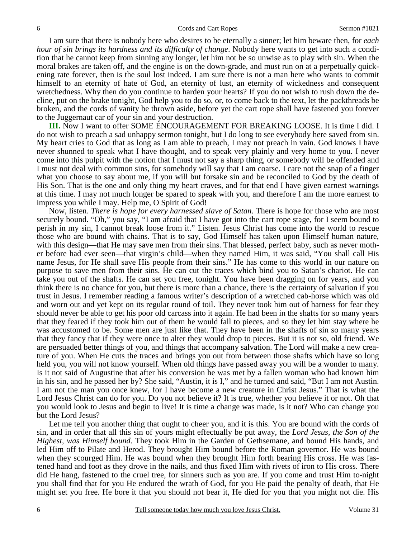I am sure that there is nobody here who desires to be eternally a sinner; let him beware then, for *each hour of sin brings its hardness and its difficulty of change*. Nobody here wants to get into such a condition that he cannot keep from sinning any longer, let him not be so unwise as to play with sin. When the moral brakes are taken off, and the engine is on the down-grade, and must run on at a perpetually quickening rate forever, then is the soul lost indeed. I am sure there is not a man here who wants to commit himself to an eternity of hate of God, an eternity of lust, an eternity of wickedness and consequent wretchedness. Why then do you continue to harden your hearts? If you do not wish to rush down the decline, put on the brake tonight, God help you to do so, or, to come back to the text, let the packthreads be broken, and the cords of vanity be thrown aside, before yet the cart rope shall have fastened you forever to the Juggernaut car of your sin and your destruction.

**III.** Now I want to offer SOME ENCOURAGEMENT FOR BREAKING LOOSE. It is time I did. I do not wish to preach a sad unhappy sermon tonight, but I do long to see everybody here saved from sin. My heart cries to God that as long as I am able to preach, I may not preach in vain. God knows I have never shunned to speak what I have thought, and to speak very plainly and very home to you. I never come into this pulpit with the notion that I must not say a sharp thing, or somebody will be offended and I must not deal with common sins, for somebody will say that I am coarse. I care not the snap of a finger what you choose to say about me, if you will but forsake sin and be reconciled to God by the death of His Son. That is the one and only thing my heart craves, and for that end I have given earnest warnings at this time. I may not much longer be spared to speak with you, and therefore I am the more earnest to impress you while I may. Help me, O Spirit of God!

 Now, listen. *There is hope for every harnessed slave of Satan*. There is hope for those who are most securely bound. "Oh," you say, "I am afraid that I have got into the cart rope stage, for I seem bound to perish in my sin, I cannot break loose from it." Listen. Jesus Christ has come into the world to rescue those who are bound with chains. That is to say, God Himself has taken upon Himself human nature, with this design—that He may save men from their sins. That blessed, perfect baby, such as never mother before had ever seen—that virgin's child—when they named Him, it was said, "You shall call His name Jesus, for He shall save His people from their sins." He has come to this world in our nature on purpose to save men from their sins. He can cut the traces which bind you to Satan's chariot. He can take you out of the shafts. He can set you free, tonight. You have been dragging on for years, and you think there is no chance for you, but there is more than a chance, there is the certainty of salvation if you trust in Jesus. I remember reading a famous writer's description of a wretched cab-horse which was old and worn out and yet kept on its regular round of toil. They never took him out of harness for fear they should never be able to get his poor old carcass into it again. He had been in the shafts for so many years that they feared if they took him out of them he would fall to pieces, and so they let him stay where he was accustomed to be. Some men are just like that. They have been in the shafts of sin so many years that they fancy that if they were once to alter they would drop to pieces. But it is not so, old friend. We are persuaded better things of you, and things that accompany salvation. The Lord will make a new creature of you. When He cuts the traces and brings you out from between those shafts which have so long held you, you will not know yourself. When old things have passed away you will be a wonder to many. Is it not said of Augustine that after his conversion he was met by a fallen woman who had known him in his sin, and he passed her by? She said, "Austin, it is I," and he turned and said, "But I am not Austin. I am not the man you once knew, for I have become a new creature in Christ Jesus." That is what the Lord Jesus Christ can do for you. Do you not believe it? It is true, whether you believe it or not. Oh that you would look to Jesus and begin to live! It is time a change was made, is it not? Who can change you but the Lord Jesus?

 Let me tell you another thing that ought to cheer you, and it is this. You are bound with the cords of sin, and in order that all this sin of yours might effectually be put away, the *Lord Jesus, the Son of the Highest, was Himself bound*. They took Him in the Garden of Gethsemane, and bound His hands, and led Him off to Pilate and Herod. They brought Him bound before the Roman governor. He was bound when they scourged Him. He was bound when they brought Him forth bearing His cross. He was fastened hand and foot as they drove in the nails, and thus fixed Him with rivets of iron to His cross. There did He hang, fastened to the cruel tree, for sinners such as you are. If you come and trust Him to-night you shall find that for you He endured the wrath of God, for you He paid the penalty of death, that He might set you free. He bore it that you should not bear it, He died for you that you might not die. His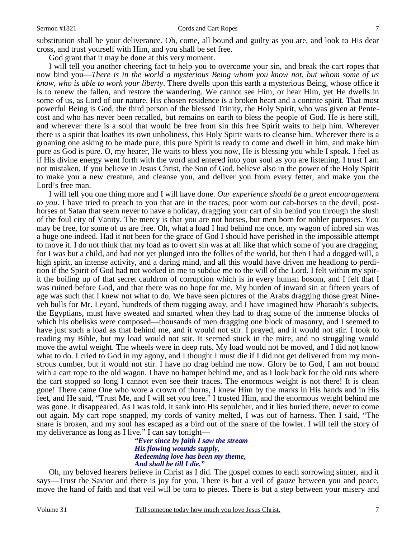### Sermon #1821 Cords and Cart Ropes 7

God grant that it may be done at this very moment.

 I will tell you another cheering fact to help you to overcome your sin, and break the cart ropes that now bind you—*There is in the world a mysterious Being whom you know not, but whom some of us know, who is able to work your liberty*. There dwells upon this earth a mysterious Being, whose office it is to renew the fallen, and restore the wandering. We cannot see Him, or hear Him, yet He dwells in some of us, as Lord of our nature. His chosen residence is a broken heart and a contrite spirit. That most powerful Being is God, the third person of the blessed Trinity, the Holy Spirit, who was given at Pentecost and who has never been recalled, but remains on earth to bless the people of God. He is here still, and wherever there is a soul that would be free from sin this free Spirit waits to help him. Wherever there is a spirit that loathes its own unholiness, this Holy Spirit waits to cleanse him. Wherever there is a groaning one asking to be made pure, this pure Spirit is ready to come and dwell in him, and make him pure as God is pure. O, my hearer, He waits to bless you now, He is blessing you while I speak. I feel as if His divine energy went forth with the word and entered into your soul as you are listening. I trust I am not mistaken. If you believe in Jesus Christ, the Son of God, believe also in the power of the Holy Spirit to make you a new creature, and cleanse you, and deliver you from every fetter, and make you the Lord's free man.

 I will tell you one thing more and I will have done. *Our experience should be a great encouragement to you*. I have tried to preach to you that are in the traces, poor worn out cab-horses to the devil, posthorses of Satan that seem never to have a holiday, dragging your cart of sin behind you through the slush of the foul city of Vanity. The mercy is that you are not horses, but men born for nobler purposes. You may be free, for some of us are free. Oh, what a load I had behind me once, my wagon of inbred sin was a huge one indeed. Had it not been for the grace of God I should have perished in the impossible attempt to move it. I do not think that my load as to overt sin was at all like that which some of you are dragging, for I was but a child, and had not yet plunged into the follies of the world, but then I had a dogged will, a high spirit, an intense activity, and a daring mind, and all this would have driven me headlong to perdition if the Spirit of God had not worked in me to subdue me to the will of the Lord. I felt within my spirit the boiling up of that secret cauldron of corruption which is in every human bosom, and I felt that I was ruined before God, and that there was no hope for me. My burden of inward sin at fifteen years of age was such that I knew not what to do. We have seen pictures of the Arabs dragging those great Nineveh bulls for Mr. Leyard, hundreds of them tugging away, and I have imagined how Pharaoh's subjects, the Egyptians, must have sweated and smarted when they had to drag some of the immense blocks of which his obelisks were composed—thousands of men dragging one block of masonry, and I seemed to have just such a load as that behind me, and it would not stir. I prayed, and it would not stir. I took to reading my Bible, but my load would not stir. It seemed stuck in the mire, and no struggling would move the awful weight. The wheels were in deep ruts. My load would not be moved, and I did not know what to do. I cried to God in my agony, and I thought I must die if I did not get delivered from my monstrous cumber, but it would not stir. I have no drag behind me now. Glory be to God, I am not bound with a cart rope to the old wagon. I have no hamper behind me, and as I look back for the old ruts where the cart stopped so long I cannot even see their traces. The enormous weight is not there! It is clean gone! There came One who wore a crown of thorns, I knew Him by the marks in His hands and in His feet, and He said, "Trust Me, and I will set you free." I trusted Him, and the enormous weight behind me was gone. It disappeared. As I was told, it sank into His sepulcher, and it lies buried there, never to come out again. My cart rope snapped, my cords of vanity melted, I was out of harness. Then I said, "The snare is broken, and my soul has escaped as a bird out of the snare of the fowler. I will tell the story of my deliverance as long as I live." I can say tonight—

*"Ever since by faith I saw the stream His flowing wounds supply, Redeeming love has been my theme, And shall be till I die."* 

Oh, my beloved hearers believe in Christ as I did. The gospel comes to each sorrowing sinner, and it says—Trust the Savior and there is joy for you. There is but a veil of gauze between you and peace, move the hand of faith and that veil will be torn to pieces. There is but a step between your misery and